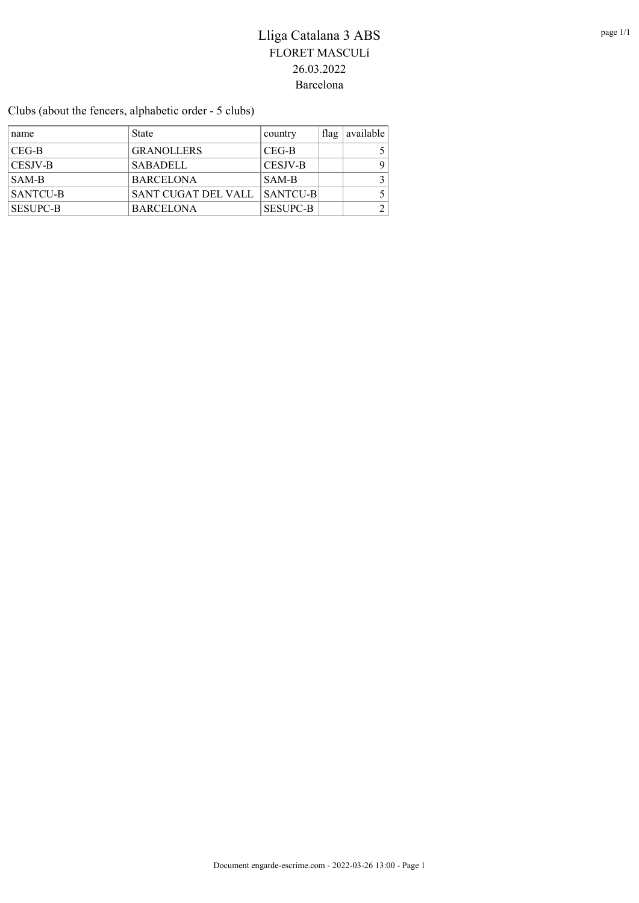Clubs (about the fencers, alphabetic order - 5 clubs)

| name            | <b>State</b>        | country         | $\pm$ flag $\pm$ | available |
|-----------------|---------------------|-----------------|------------------|-----------|
| CEG-B           | <b>GRANOLLERS</b>   | CEG-B           |                  |           |
| <b>CESJV-B</b>  | <b>SABADELL</b>     | CESJV-B         |                  | 9         |
| SAM-B           | <b>BARCELONA</b>    | SAM-B           |                  |           |
| SANTCU-B        | SANT CUGAT DEL VALL | <b>SANTCU-B</b> |                  |           |
| <b>SESUPC-B</b> | <b>BARCELONA</b>    | <b>SESUPC-B</b> |                  |           |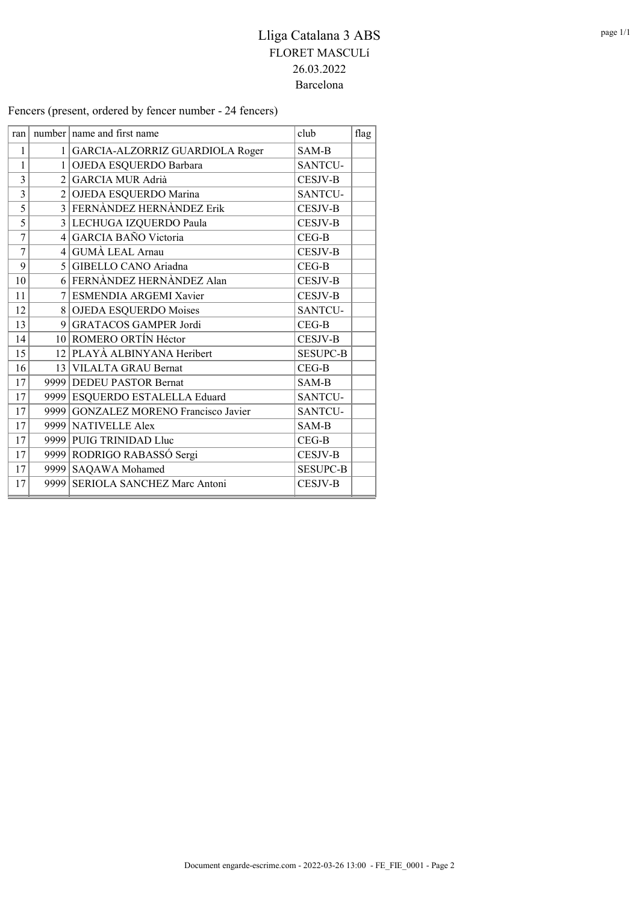Fencers (present, ordered by fencer number - 24 fencers)

| ran            |                | number name and first name            | club            | flag |
|----------------|----------------|---------------------------------------|-----------------|------|
| 1              |                | 1   GARCIA-ALZORRIZ GUARDIOLA Roger   | SAM-B           |      |
| $\mathbf{1}$   |                | 1 OJEDA ESQUERDO Barbara              | <b>SANTCU-</b>  |      |
| $\overline{3}$ | $\overline{2}$ | <b>GARCIA MUR Adrià</b>               | <b>CESJV-B</b>  |      |
| $\overline{3}$ |                | 2 OJEDA ESQUERDO Marina               | SANTCU-         |      |
| 5              |                | 3 FERNÀNDEZ HERNÀNDEZ Erik            | <b>CESJV-B</b>  |      |
| 5              |                | 3 LECHUGA IZQUERDO Paula              | <b>CESJV-B</b>  |      |
| $\overline{7}$ |                | 4 GARCIA BAÑO Victoria                | $CEG-B$         |      |
| $\overline{7}$ |                | 4 GUMA LEAL Arnau                     | <b>CESJV-B</b>  |      |
| 9              |                | 5 GIBELLO CANO Ariadna                | $CEG-B$         |      |
| 10             |                | 6 FERNÀNDEZ HERNÀNDEZ Alan            | <b>CESJV-B</b>  |      |
| 11             |                | 7 ESMENDIA ARGEMI Xavier              | <b>CESJV-B</b>  |      |
| 12             |                | 8 OJEDA ESQUERDO Moises               | <b>SANTCU-</b>  |      |
| 13             |                | 9 GRATACOS GAMPER Jordi               | $CEG-B$         |      |
| 14             |                | 10 ROMERO ORTÍN Héctor                | <b>CESJV-B</b>  |      |
| 15             |                | 12 PLAYÀ ALBINYANA Heribert           | <b>SESUPC-B</b> |      |
| 16             |                | 13 VILALTA GRAU Bernat                | $CEG-B$         |      |
| 17             |                | 9999 DEDEU PASTOR Bernat              | SAM-B           |      |
| 17             |                | 9999 ESQUERDO ESTALELLA Eduard        | SANTCU-         |      |
| 17             |                | 9999 GONZALEZ MORENO Francisco Javier | <b>SANTCU-</b>  |      |
| 17             |                | 9999 NATIVELLE Alex                   | SAM-B           |      |
| 17             |                | 9999 PUIG TRINIDAD Lluc               | $CEG-B$         |      |
| 17             |                | 9999 RODRIGO RABASSÓ Sergi            | <b>CESJV-B</b>  |      |
| 17             |                | 9999 SAQAWA Mohamed                   | <b>SESUPC-B</b> |      |
| 17             |                | 9999 SERIOLA SANCHEZ Marc Antoni      | <b>CESJV-B</b>  |      |
|                |                |                                       |                 |      |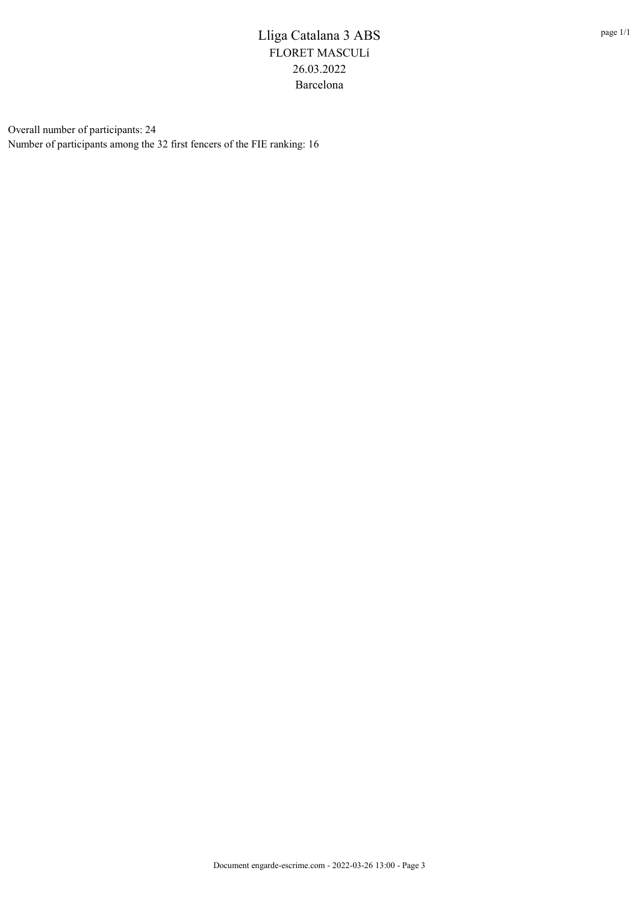Overall number of participants: 24 Number of participants among the 32 first fencers of the FIE ranking: 16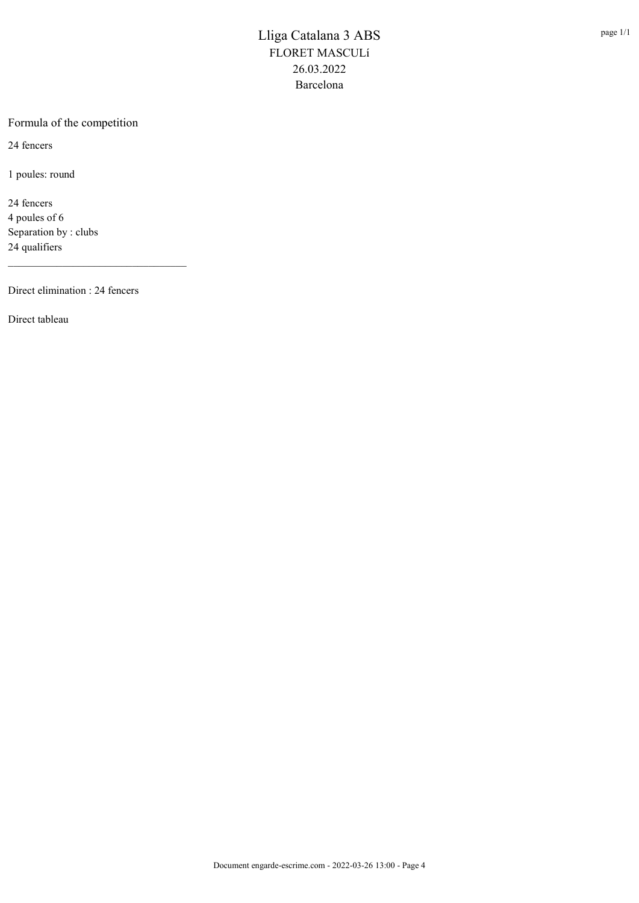#### Formula of the competition

24 fencers

1 poules: round

24 fencers 4 poules of 6 Separation by : clubs 24 qualifiers

Direct elimination : 24 fencers

\_\_\_\_\_\_\_\_\_\_\_\_\_\_\_\_\_\_\_\_\_\_\_\_\_\_\_\_\_\_\_\_\_

Direct tableau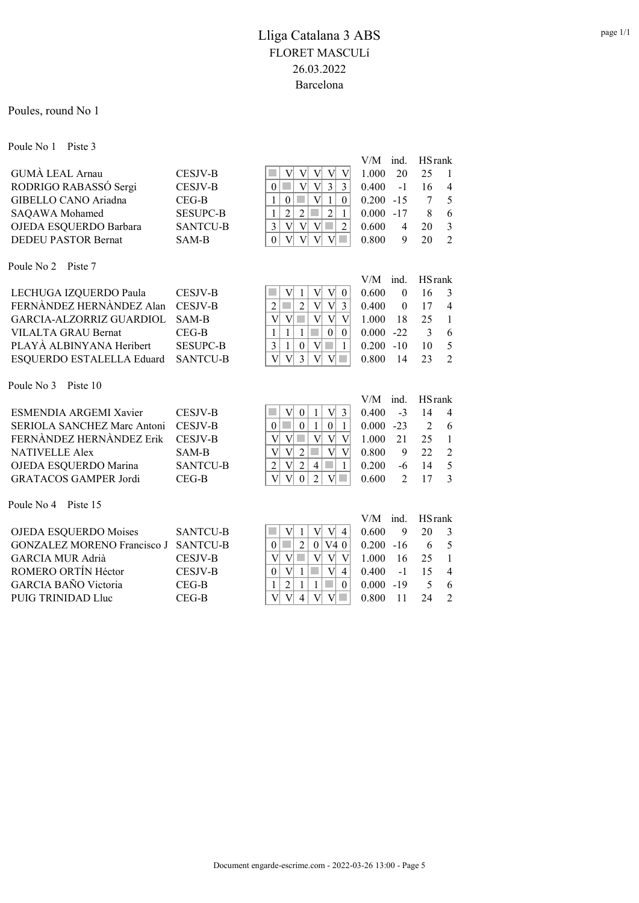Poules, round No 1

Poule No 1 Piste 3

|                            |                 | $V/M$ ind. HS rank |                       |
|----------------------------|-----------------|--------------------|-----------------------|
| <b>GUMA LEAL Arnau</b>     | <b>CESJV-B</b>  | 1.000<br>20        | $\blacksquare$<br>25  |
| RODRIGO RABASSÓ Sergi      | <b>CESJV-B</b>  | $0.400 -1$ 16      | $\overline{4}$        |
| GIBELLO CANO Ariadna       | $CEG-B$         | $0.200 -15$        | - 5                   |
| SAQAWA Mohamed             | <b>SESUPC-B</b> | $0.000 -17$        | - 6                   |
| OJEDA ESQUERDO Barbara     | <b>SANTCU-B</b> | 0.600<br>4         | $\mathcal{E}$<br>- 20 |
| <b>DEDEU PASTOR Bernat</b> | SAM-B           | 0.800<br>9         | $\gamma$<br>20        |

Poule No 2 Piste 7

|                                    |                 | $V/M$ ind. HS rank |                                |
|------------------------------------|-----------------|--------------------|--------------------------------|
|                                    |                 |                    |                                |
| LECHUGA IZQUERDO Paula CESJV-B     |                 | 0.600<br>$\theta$  | $\overline{\mathbf{3}}$<br>16  |
| FERNANDEZ HERNANDEZ Alan CESJV-B   |                 | 0.400<br>$\theta$  | $\overline{4}$<br>17           |
| GARCIA-ALZORRIZ GUARDIOL SAM-B     |                 | 1.000<br>- 18      | 2.5<br>$\overline{1}$          |
| VILALTA GRAU Bernat                | CEG-B           | $0.000 -22$        | - 6                            |
| PLAYÀ ALBINYANA Heribert           | <b>SESUPC-B</b> | $0.200 - 10$       | $\sqrt{5}$<br>10               |
| ESQUERDO ESTALELLA Eduard SANTCU-B |                 | 0.800 14           | $\overline{\phantom{a}}$<br>23 |
|                                    |                 |                    |                                |

Poule No 3 Piste 10

|                                    |                 |                                  | $V/M$ ind. |               | <b>HS</b> rank |                |
|------------------------------------|-----------------|----------------------------------|------------|---------------|----------------|----------------|
| ESMENDIA ARGEMI Xavier             | <b>CESJV-B</b>  | V<br>$V_1$<br>3<br>$\theta$      | 0.400      | $-3$          | 14             | $\overline{4}$ |
| SERIOLA SANCHEZ Marc Antoni        | CESJV-B         | $\theta$<br>$\Omega$<br>0        | 0.000      | $-23$         | $\mathfrak{D}$ | -6             |
| FERNANDEZ HERNANDEZ Erik           | <b>CESJV-B</b>  | V<br>V                           | 1.000      | 21            | 25             | $\overline{1}$ |
| <b>NATIVELLE Alex</b>              | SAM-B           | $\mathbf{V}$<br>V<br>V<br>2<br>V | 0.800      | 9             | 22             | 2              |
| OJEDA ESQUERDO Marina              | <b>SANTCU-B</b> | 2<br>V<br>$\overline{2}$<br>4    | 0.200      | -6            | 14             | 5              |
| <b>GRATACOS GAMPER Jordi</b>       | $CEG-B$         | $\Omega$<br>$\mathcal{D}$        | 0.600      | $\mathcal{D}$ | 17             | 3              |
| Poule No 4<br>Piste 15             |                 |                                  |            |               |                |                |
|                                    |                 |                                  | $V/M$ ind. |               | <b>HS</b> rank |                |
| <b>OJEDA ESQUERDO Moises</b>       | <b>SANTCU-B</b> | V<br>4                           | 0.600      | 9             | 20             | 3              |
| <b>GONZALEZ MORENO Francisco J</b> | <b>SANTCU-B</b> | V40<br>2<br>0<br>0 <sup>1</sup>  | 0.200      | $-16$         | 6              | -5             |
| <b>GARCIA MUR Adrià</b>            | <b>CESJV-B</b>  | V<br>V<br>V<br>V                 | 1.000      | 16            | 25             | $\overline{1}$ |
| ROMERO ORTÍN Héctor                | <b>CESJV-B</b>  | $\theta$<br>V<br>$\overline{4}$  | 0.400      | $-1$          | 15             | $\overline{4}$ |

GARCIA BAÑO Victoria CEG-B 1 2 1 1 0 0.000 -19 5 6<br>PUIG TRINIDAD Lluc CEG-B V V 4 V V 0.800 11 24 2 PUIG TRINIDAD Lluc CEG-B V V 4 V V 0.800 11 24 2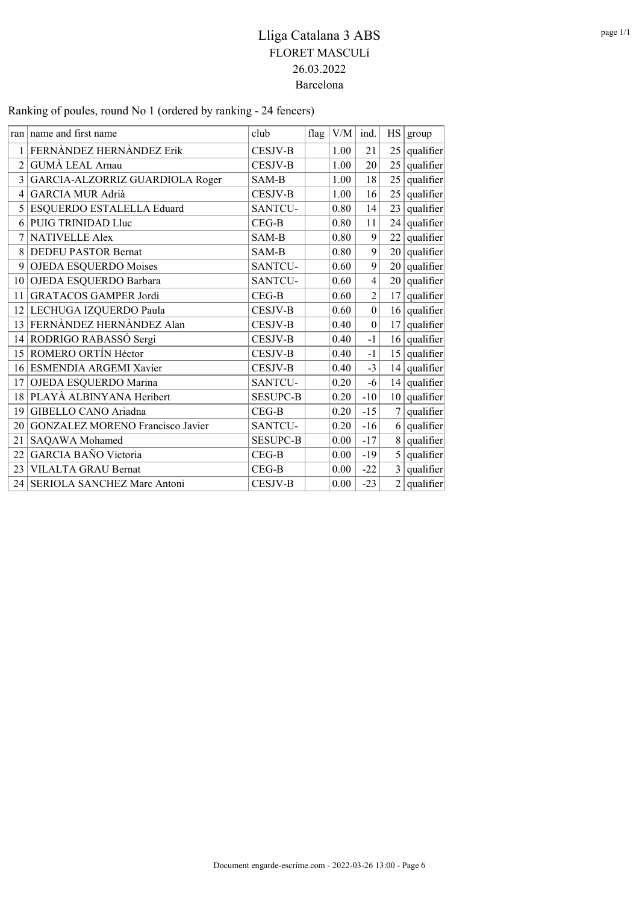Ranking of poules, round No 1 (ordered by ranking - 24 fencers)

|                 | ran name and first name          | club            | flag | V/M  | ind.             |                | HS   group                |
|-----------------|----------------------------------|-----------------|------|------|------------------|----------------|---------------------------|
| 1               | FERNÀNDEZ HERNÀNDEZ Erik         | <b>CESJV-B</b>  |      | 1.00 | 21               |                | $25$ qualifier            |
| $\overline{2}$  | <b>GUMÀ LEAL Arnau</b>           | <b>CESJV-B</b>  |      | 1.00 | 20               |                | $25$ qualifier            |
| 3               | GARCIA-ALZORRIZ GUARDIOLA Roger  | SAM-B           |      | 1.00 | 18               |                | $25$ qualifier            |
| 4               | <b>GARCIA MUR Adrià</b>          | <b>CESJV-B</b>  |      | 1.00 | 16               |                | $25$ qualifier            |
| 5 <sup>1</sup>  | ESQUERDO ESTALELLA Eduard        | SANTCU-         |      | 0.80 | 14               |                | $23$ qualifier            |
| 6               | PUIG TRINIDAD Lluc               | $CEG-B$         |      | 0.80 | 11               |                | $24$ qualifier            |
| 7               | <b>NATIVELLE Alex</b>            | SAM-B           |      | 0.80 | 9                |                | $22$ qualifier            |
| 8               | <b>DEDEU PASTOR Bernat</b>       | SAM-B           |      | 0.80 | 9                |                | $20$ qualifier            |
| 9               | <b>OJEDA ESQUERDO Moises</b>     | SANTCU-         |      | 0.60 | 9                |                | $20$ qualifier            |
| 10 <sup>1</sup> | OJEDA ESQUERDO Barbara           | <b>SANTCU-</b>  |      | 0.60 | $\overline{4}$   |                | $\overline{20}$ qualifier |
| 11              | <b>GRATACOS GAMPER Jordi</b>     | $CEG-B$         |      | 0.60 | $\overline{2}$   |                | $17$ qualifier            |
| 12 <sup>1</sup> | LECHUGA IZQUERDO Paula           | <b>CESJV-B</b>  |      | 0.60 | $\boldsymbol{0}$ |                | $16$ qualifier            |
| 13              | FERNÀNDEZ HERNÀNDEZ Alan         | <b>CESJV-B</b>  |      | 0.40 | $\boldsymbol{0}$ | 17             | qualifier                 |
| 14              | RODRIGO RABASSÓ Sergi            | <b>CESJV-B</b>  |      | 0.40 | $-1$             |                | $16$ qualifier            |
| 15 <sup>1</sup> | ROMERO ORTÍN Héctor              | <b>CESJV-B</b>  |      | 0.40 | $-1$             |                | $15$ qualifier            |
| 16 <sup>1</sup> | ESMENDIA ARGEMI Xavier           | <b>CESJV-B</b>  |      | 0.40 | $-3$             |                | $14$ qualifier            |
| 17              | OJEDA ESQUERDO Marina            | SANTCU-         |      | 0.20 | $-6$             |                | $14$ qualifier            |
|                 | 18 PLAYÀ ALBINYANA Heribert      | <b>SESUPC-B</b> |      | 0.20 | $-10$            |                | $10$ qualifier            |
| 19              | GIBELLO CANO Ariadna             | $CEG-B$         |      | 0.20 | $-15$            | 7 <sup>1</sup> | qualifier                 |
| 20              | GONZALEZ MORENO Francisco Javier | SANTCU-         |      | 0.20 | $-16$            |                | $6 \vert$ qualifier       |
| 21              | SAQAWA Mohamed                   | <b>SESUPC-B</b> |      | 0.00 | $-17$            |                | $8$ qualifier             |
| 22              | <b>GARCIA BAÑO Victoria</b>      | $CEG-B$         |      | 0.00 | $-19$            |                | $5$ qualifier             |
| 23              | VILALTA GRAU Bernat              | $CEG-B$         |      | 0.00 | $-22$            | $\overline{3}$ | qualifier                 |
|                 | 24 SERIOLA SANCHEZ Marc Antoni   | <b>CESJV-B</b>  |      | 0.00 | $-23$            |                | $2$ qualifier             |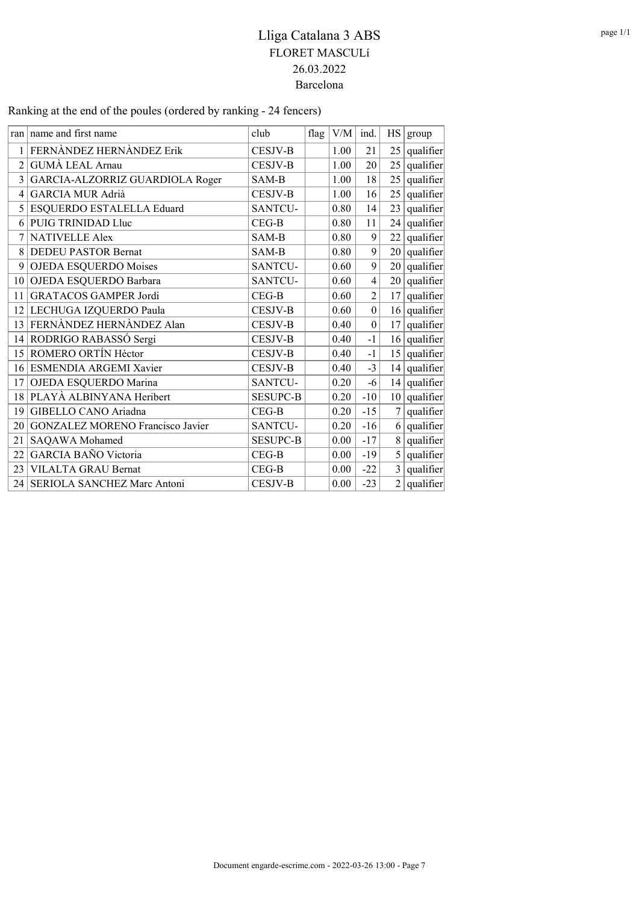Ranking at the end of the poules (ordered by ranking - 24 fencers)

|                 | ran   name and first name        | club            | flag | V/M      | ind.           |                 | HS   group                |
|-----------------|----------------------------------|-----------------|------|----------|----------------|-----------------|---------------------------|
| 1               | FERNÀNDEZ HERNÀNDEZ Erik         | <b>CESJV-B</b>  |      | 1.00     | 21             |                 | $25$ qualifier            |
| $\overline{c}$  | <b>GUMÀ LEAL Arnau</b>           | <b>CESJV-B</b>  |      | 1.00     | 20             |                 | $25$ qualifier            |
| 3               | GARCIA-ALZORRIZ GUARDIOLA Roger  | SAM-B           |      | 1.00     | 18             |                 | $25$ qualifier            |
| 4               | <b>GARCIA MUR Adrià</b>          | <b>CESJV-B</b>  |      | 1.00     | 16             |                 | $25$ qualifier            |
| 5               | ESQUERDO ESTALELLA Eduard        | SANTCU-         |      | 0.80     | 14             |                 | $23$ qualifier            |
| 6               | PUIG TRINIDAD Lluc               | $CEG-B$         |      | 0.80     | 11             |                 | $24$ qualifier            |
| 7               | <b>NATIVELLE Alex</b>            | SAM-B           |      | 0.80     | 9              |                 | $22$ qualifier            |
| 8               | <b>DEDEU PASTOR Bernat</b>       | SAM-B           |      | 0.80     | 9              |                 | $20$ qualifier            |
| 9               | OJEDA ESQUERDO Moises            | SANTCU-         |      | 0.60     | 9              |                 | $20$ qualifier            |
| 10 <sup>1</sup> | OJEDA ESQUERDO Barbara           | SANTCU-         |      | 0.60     | $\overline{4}$ |                 | $\overline{20}$ qualifier |
| 11              | <b>GRATACOS GAMPER Jordi</b>     | $CEG-B$         |      | 0.60     | $\overline{2}$ | 17 <sup>2</sup> | qualifier                 |
| 12              | LECHUGA IZQUERDO Paula           | CESJV-B         |      | 0.60     | $\mathbf{0}$   |                 | $16$ qualifier            |
| 13              | FERNÀNDEZ HERNÀNDEZ Alan         | <b>CESJV-B</b>  |      | 0.40     | $\mathbf{0}$   | 17 <sup>2</sup> | qualifier                 |
| 14              | RODRIGO RABASSÓ Sergi            | <b>CESJV-B</b>  |      | 0.40     | $-1$           |                 | $16$ qualifier            |
| 15              | ROMERO ORTÍN Héctor              | <b>CESJV-B</b>  |      | 0.40     | $-1$           |                 | $15$ qualifier            |
|                 | 16 ESMENDIA ARGEMI Xavier        | <b>CESJV-B</b>  |      | 0.40     | $-3$           |                 | $14$ qualifier            |
| 17              | OJEDA ESQUERDO Marina            | SANTCU-         |      | 0.20     | $-6$           |                 | $14$ qualifier            |
|                 | 18 PLAYÀ ALBINYANA Heribert      | <b>SESUPC-B</b> |      | 0.20     | $-10$          |                 | $10$ qualifier            |
| 19              | GIBELLO CANO Ariadna             | $CEG-B$         |      | 0.20     | $-15$          | 7 <sup>1</sup>  | qualifier                 |
| 20              | GONZALEZ MORENO Francisco Javier | SANTCU-         |      | 0.20     | $-16$          |                 | $6$ qualifier             |
| 21              | SAQAWA Mohamed                   | <b>SESUPC-B</b> |      | 0.00     | $-17$          | 8               | qualifier                 |
| 22              | GARCIA BAÑO Victoria             | $CEG-B$         |      | 0.00     | $-19$          |                 | $5$ qualifier             |
| 23              | VILALTA GRAU Bernat              | $CEG-B$         |      | 0.00     | $-22$          | $\overline{3}$  | qualifier                 |
| 24 <sub>1</sub> | SERIOLA SANCHEZ Marc Antoni      | <b>CESJV-B</b>  |      | $0.00\,$ | $-23$          |                 | $2$ qualifier             |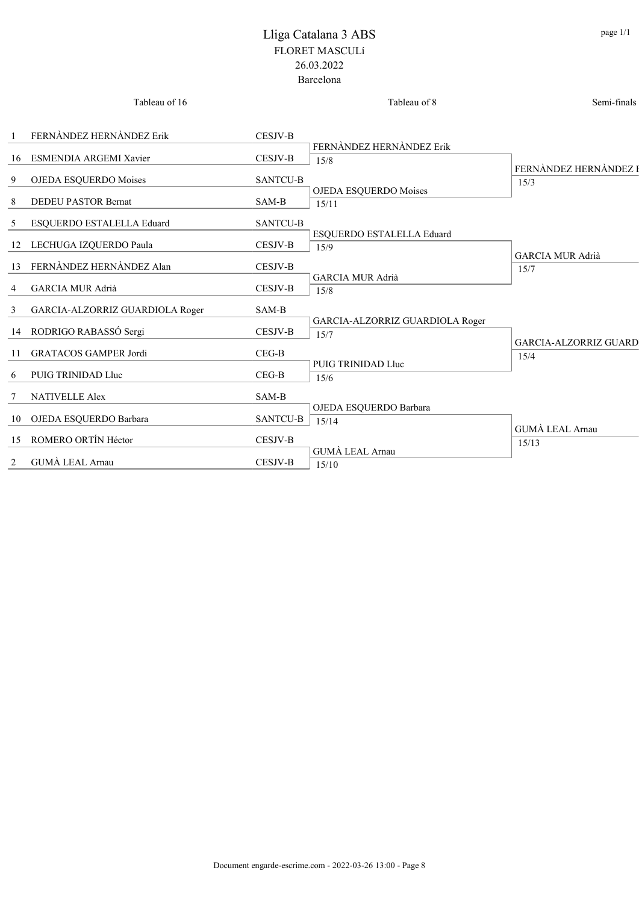|                | Tableau of 16                   |                        | Tableau of 8                            | Semi-finals                          |
|----------------|---------------------------------|------------------------|-----------------------------------------|--------------------------------------|
| $\mathbf{1}$   | FERNÀNDEZ HERNÀNDEZ Erik        | <b>CESJV-B</b>         |                                         |                                      |
|                | 16 ESMENDIA ARGEMI Xavier       | CESJV-B                | FERNÀNDEZ HERNÀNDEZ Erik<br>15/8        |                                      |
| 9              | OJEDA ESQUERDO Moises           | <b>SANTCU-B</b>        |                                         | FERNÀNDEZ HERNÀNDEZ I<br>15/3        |
| 8              | <b>DEDEU PASTOR Bernat</b>      | SAM-B                  | OJEDA ESQUERDO Moises<br>15/11          |                                      |
| 5              | ESQUERDO ESTALELLA Eduard       | <b>SANTCU-B</b>        |                                         |                                      |
| 12             | LECHUGA IZQUERDO Paula          | <b>CESJV-B</b>         | ESQUERDO ESTALELLA Eduard<br>15/9       |                                      |
|                | 13 FERNÀNDEZ HERNÀNDEZ Alan     | CESJV-B                |                                         | <b>GARCIA MUR Adrià</b><br>15/7      |
| 4              | <b>GARCIA MUR Adrià</b>         | <b>CESJV-B</b>         | <b>GARCIA MUR Adrià</b><br>15/8         |                                      |
| 3              | GARCIA-ALZORRIZ GUARDIOLA Roger | SAM-B                  |                                         |                                      |
|                | 14 RODRIGO RABASSÓ Sergi        | <b>CESJV-B</b>         | GARCIA-ALZORRIZ GUARDIOLA Roger<br>15/7 |                                      |
|                | 11 GRATACOS GAMPER Jordi        | $CEG-B$                |                                         | <b>GARCIA-ALZORRIZ GUARD</b><br>15/4 |
| 6              | PUIG TRINIDAD Lluc              | $CEG-B$                | PUIG TRINIDAD Lluc<br>15/6              |                                      |
| 7              | <b>NATIVELLE Alex</b>           | $\operatorname{SAM-B}$ |                                         |                                      |
|                | 10 OJEDA ESQUERDO Barbara       | <b>SANTCU-B</b>        | OJEDA ESQUERDO Barbara<br>15/14         |                                      |
|                | 15 ROMERO ORTÍN Héctor          | <b>CESJV-B</b>         |                                         | GUMÀ LEAL Arnau<br>15/13             |
| $\overline{2}$ | <b>GUMA LEAL Arnau</b>          | <b>CESJV-B</b>         | <b>GUMÀ LEAL Arnau</b><br>15/10         |                                      |
|                |                                 |                        |                                         |                                      |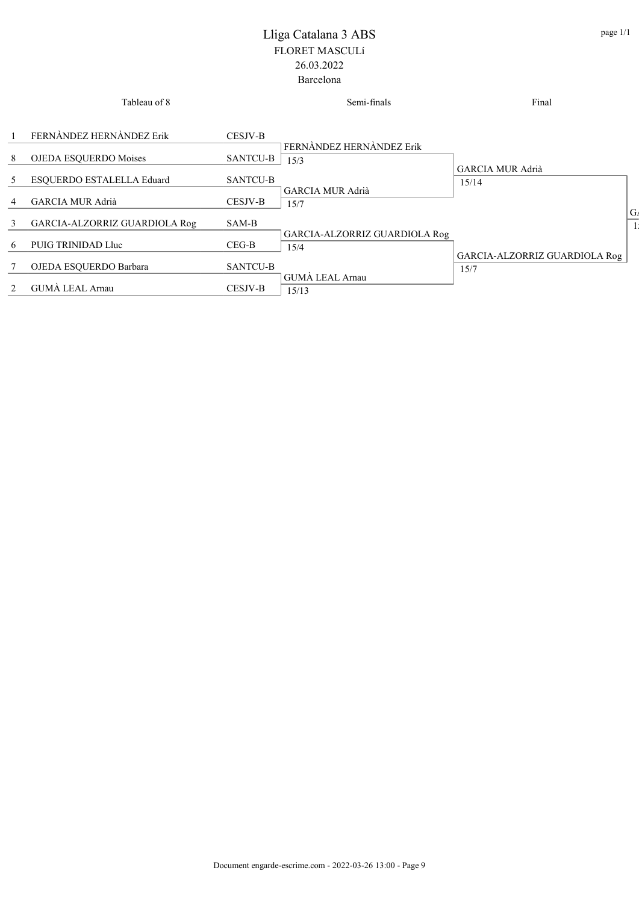|   | Tableau of 8                  |                 | Semi-finals                   | Final                         |                |
|---|-------------------------------|-----------------|-------------------------------|-------------------------------|----------------|
|   | FERNÀNDEZ HERNÀNDEZ Erik      | <b>CESJV-B</b>  | FERNÀNDEZ HERNÀNDEZ Erik      |                               |                |
| 8 | OJEDA ESQUERDO Moises         | <b>SANTCU-B</b> | 15/3                          | <b>GARCIA MUR Adrià</b>       |                |
| 5 | ESQUERDO ESTALELLA Eduard     | <b>SANTCU-B</b> | <b>GARCIA MUR Adrià</b>       | 15/14                         |                |
| 4 | <b>GARCIA MUR Adrià</b>       | CESJV-B         | 15/7                          |                               | G <sub>A</sub> |
| 3 | GARCIA-ALZORRIZ GUARDIOLA Rog | SAM-B           | GARCIA-ALZORRIZ GUARDIOLA Rog |                               |                |
| 6 | PUIG TRINIDAD Lluc            | $CEG-B$         | 15/4                          | GARCIA-ALZORRIZ GUARDIOLA Rog |                |
|   | OJEDA ESQUERDO Barbara        | <b>SANTCU-B</b> | GUMA LEAL Arnau               | 15/7                          |                |
|   | <b>GUMÀ LEAL Arnau</b>        | <b>CESJV-B</b>  | 15/13                         |                               |                |